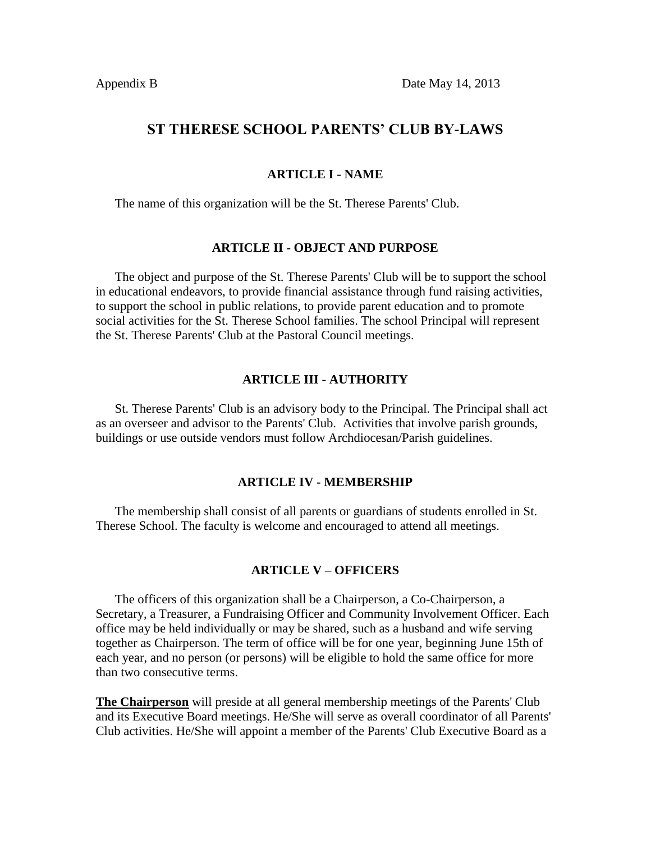# **ST THERESE SCHOOL PARENTS' CLUB BY-LAWS**

#### **ARTICLE I - NAME**

The name of this organization will be the St. Therese Parents' Club.

#### **ARTICLE II - OBJECT AND PURPOSE**

 The object and purpose of the St. Therese Parents' Club will be to support the school in educational endeavors, to provide financial assistance through fund raising activities, to support the school in public relations, to provide parent education and to promote social activities for the St. Therese School families. The school Principal will represent the St. Therese Parents' Club at the Pastoral Council meetings.

#### **ARTICLE III - AUTHORITY**

 St. Therese Parents' Club is an advisory body to the Principal. The Principal shall act as an overseer and advisor to the Parents' Club. Activities that involve parish grounds, buildings or use outside vendors must follow Archdiocesan/Parish guidelines.

#### **ARTICLE IV - MEMBERSHIP**

 The membership shall consist of all parents or guardians of students enrolled in St. Therese School. The faculty is welcome and encouraged to attend all meetings.

#### **ARTICLE V – OFFICERS**

 The officers of this organization shall be a Chairperson, a Co-Chairperson, a Secretary, a Treasurer, a Fundraising Officer and Community Involvement Officer. Each office may be held individually or may be shared, such as a husband and wife serving together as Chairperson. The term of office will be for one year, beginning June 15th of each year, and no person (or persons) will be eligible to hold the same office for more than two consecutive terms.

**The Chairperson** will preside at all general membership meetings of the Parents' Club and its Executive Board meetings. He/She will serve as overall coordinator of all Parents' Club activities. He/She will appoint a member of the Parents' Club Executive Board as a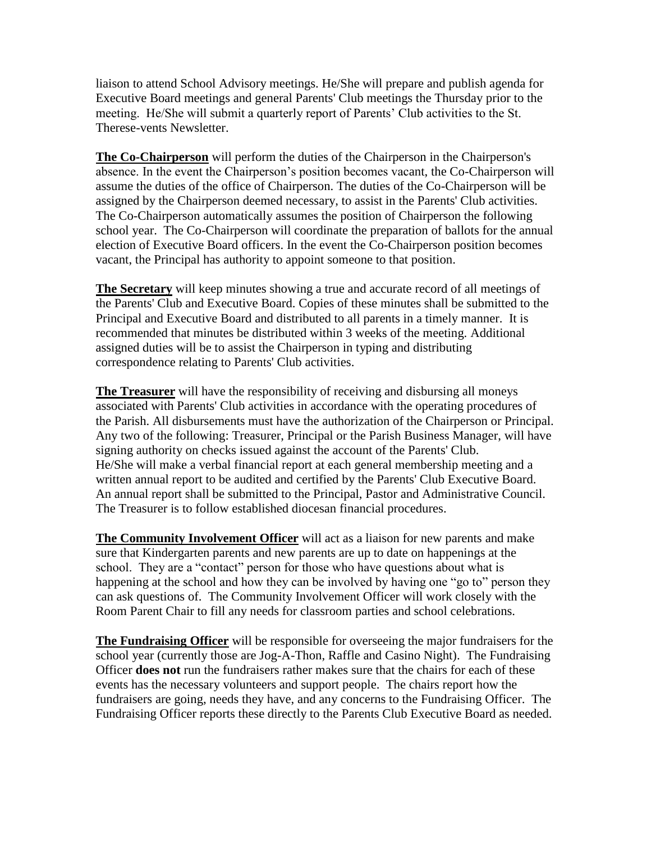liaison to attend School Advisory meetings. He/She will prepare and publish agenda for Executive Board meetings and general Parents' Club meetings the Thursday prior to the meeting. He/She will submit a quarterly report of Parents' Club activities to the St. Therese-vents Newsletter.

**The Co-Chairperson** will perform the duties of the Chairperson in the Chairperson's absence. In the event the Chairperson's position becomes vacant, the Co-Chairperson will assume the duties of the office of Chairperson. The duties of the Co-Chairperson will be assigned by the Chairperson deemed necessary, to assist in the Parents' Club activities. The Co-Chairperson automatically assumes the position of Chairperson the following school year. The Co-Chairperson will coordinate the preparation of ballots for the annual election of Executive Board officers. In the event the Co-Chairperson position becomes vacant, the Principal has authority to appoint someone to that position.

**The Secretary** will keep minutes showing a true and accurate record of all meetings of the Parents' Club and Executive Board. Copies of these minutes shall be submitted to the Principal and Executive Board and distributed to all parents in a timely manner. It is recommended that minutes be distributed within 3 weeks of the meeting. Additional assigned duties will be to assist the Chairperson in typing and distributing correspondence relating to Parents' Club activities.

**The Treasurer** will have the responsibility of receiving and disbursing all moneys associated with Parents' Club activities in accordance with the operating procedures of the Parish. All disbursements must have the authorization of the Chairperson or Principal. Any two of the following: Treasurer, Principal or the Parish Business Manager, will have signing authority on checks issued against the account of the Parents' Club. He/She will make a verbal financial report at each general membership meeting and a written annual report to be audited and certified by the Parents' Club Executive Board. An annual report shall be submitted to the Principal, Pastor and Administrative Council. The Treasurer is to follow established diocesan financial procedures.

**The Community Involvement Officer** will act as a liaison for new parents and make sure that Kindergarten parents and new parents are up to date on happenings at the school. They are a "contact" person for those who have questions about what is happening at the school and how they can be involved by having one "go to" person they can ask questions of. The Community Involvement Officer will work closely with the Room Parent Chair to fill any needs for classroom parties and school celebrations.

**The Fundraising Officer** will be responsible for overseeing the major fundraisers for the school year (currently those are Jog-A-Thon, Raffle and Casino Night). The Fundraising Officer **does not** run the fundraisers rather makes sure that the chairs for each of these events has the necessary volunteers and support people. The chairs report how the fundraisers are going, needs they have, and any concerns to the Fundraising Officer. The Fundraising Officer reports these directly to the Parents Club Executive Board as needed.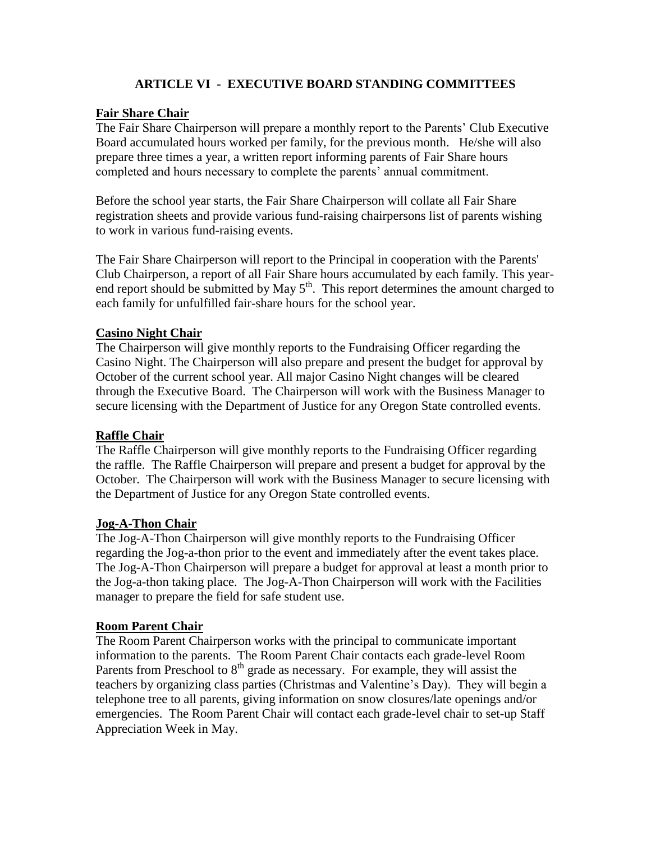# **ARTICLE VI - EXECUTIVE BOARD STANDING COMMITTEES**

# **Fair Share Chair**

The Fair Share Chairperson will prepare a monthly report to the Parents' Club Executive Board accumulated hours worked per family, for the previous month. He/she will also prepare three times a year, a written report informing parents of Fair Share hours completed and hours necessary to complete the parents' annual commitment.

Before the school year starts, the Fair Share Chairperson will collate all Fair Share registration sheets and provide various fund-raising chairpersons list of parents wishing to work in various fund-raising events.

The Fair Share Chairperson will report to the Principal in cooperation with the Parents' Club Chairperson, a report of all Fair Share hours accumulated by each family. This yearend report should be submitted by May  $5<sup>th</sup>$ . This report determines the amount charged to each family for unfulfilled fair-share hours for the school year.

### **Casino Night Chair**

The Chairperson will give monthly reports to the Fundraising Officer regarding the Casino Night. The Chairperson will also prepare and present the budget for approval by October of the current school year. All major Casino Night changes will be cleared through the Executive Board. The Chairperson will work with the Business Manager to secure licensing with the Department of Justice for any Oregon State controlled events.

### **Raffle Chair**

The Raffle Chairperson will give monthly reports to the Fundraising Officer regarding the raffle. The Raffle Chairperson will prepare and present a budget for approval by the October. The Chairperson will work with the Business Manager to secure licensing with the Department of Justice for any Oregon State controlled events.

### **Jog-A-Thon Chair**

The Jog-A-Thon Chairperson will give monthly reports to the Fundraising Officer regarding the Jog-a-thon prior to the event and immediately after the event takes place. The Jog-A-Thon Chairperson will prepare a budget for approval at least a month prior to the Jog-a-thon taking place. The Jog-A-Thon Chairperson will work with the Facilities manager to prepare the field for safe student use.

### **Room Parent Chair**

The Room Parent Chairperson works with the principal to communicate important information to the parents. The Room Parent Chair contacts each grade-level Room Parents from Preschool to  $8<sup>th</sup>$  grade as necessary. For example, they will assist the teachers by organizing class parties (Christmas and Valentine's Day). They will begin a telephone tree to all parents, giving information on snow closures/late openings and/or emergencies. The Room Parent Chair will contact each grade-level chair to set-up Staff Appreciation Week in May.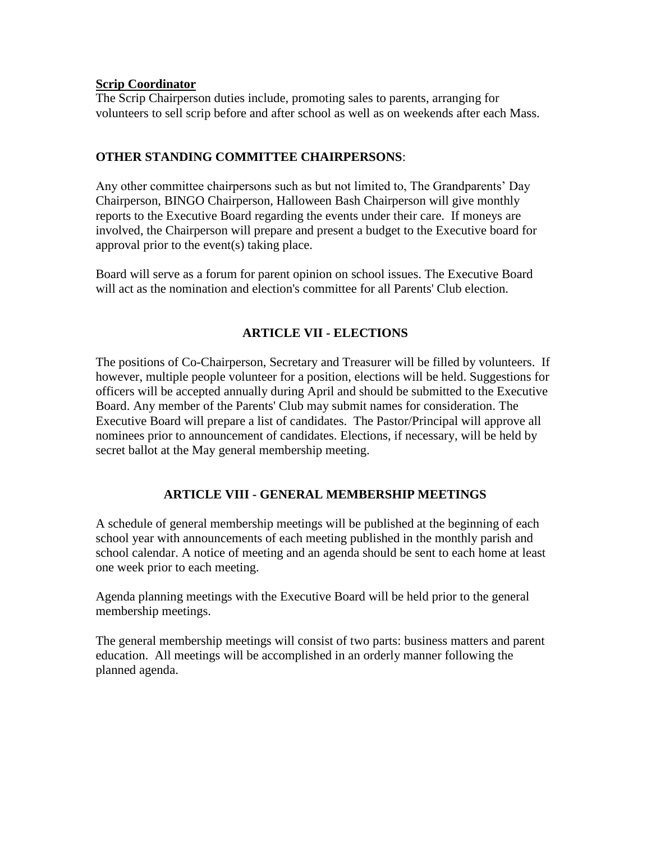### **Scrip Coordinator**

The Scrip Chairperson duties include, promoting sales to parents, arranging for volunteers to sell scrip before and after school as well as on weekends after each Mass.

# **OTHER STANDING COMMITTEE CHAIRPERSONS**:

Any other committee chairpersons such as but not limited to, The Grandparents' Day Chairperson, BINGO Chairperson, Halloween Bash Chairperson will give monthly reports to the Executive Board regarding the events under their care. If moneys are involved, the Chairperson will prepare and present a budget to the Executive board for approval prior to the event(s) taking place.

Board will serve as a forum for parent opinion on school issues. The Executive Board will act as the nomination and election's committee for all Parents' Club election.

# **ARTICLE VII - ELECTIONS**

The positions of Co-Chairperson, Secretary and Treasurer will be filled by volunteers. If however, multiple people volunteer for a position, elections will be held. Suggestions for officers will be accepted annually during April and should be submitted to the Executive Board. Any member of the Parents' Club may submit names for consideration. The Executive Board will prepare a list of candidates. The Pastor/Principal will approve all nominees prior to announcement of candidates. Elections, if necessary, will be held by secret ballot at the May general membership meeting.

# **ARTICLE VIII - GENERAL MEMBERSHIP MEETINGS**

A schedule of general membership meetings will be published at the beginning of each school year with announcements of each meeting published in the monthly parish and school calendar. A notice of meeting and an agenda should be sent to each home at least one week prior to each meeting.

Agenda planning meetings with the Executive Board will be held prior to the general membership meetings.

The general membership meetings will consist of two parts: business matters and parent education. All meetings will be accomplished in an orderly manner following the planned agenda.